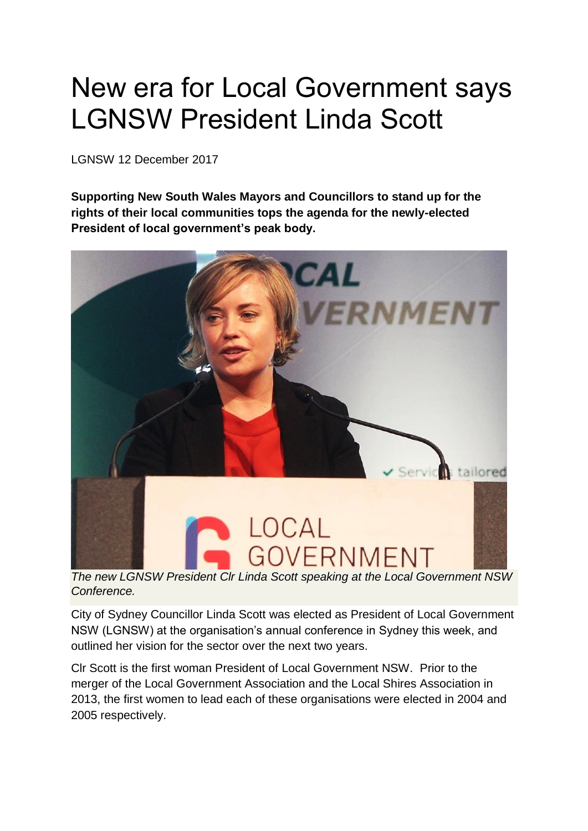## New era for Local Government says LGNSW President Linda Scott

LGNSW 12 December 2017

**Supporting New South Wales Mayors and Councillors to stand up for the rights of their local communities tops the agenda for the newly-elected President of local government's peak body.**



*Conference.*

City of Sydney Councillor Linda Scott was elected as President of Local Government NSW (LGNSW) at the organisation's annual conference in Sydney this week, and outlined her vision for the sector over the next two years.

Clr Scott is the first woman President of Local Government NSW. Prior to the merger of the Local Government Association and the Local Shires Association in 2013, the first women to lead each of these organisations were elected in 2004 and 2005 respectively.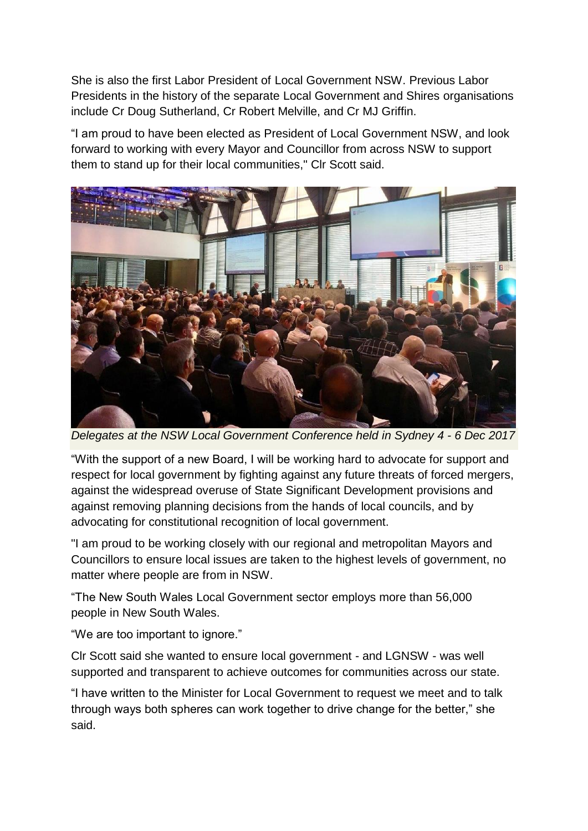She is also the first Labor President of Local Government NSW. Previous Labor Presidents in the history of the separate Local Government and Shires organisations include Cr Doug Sutherland, Cr Robert Melville, and Cr MJ Griffin.

"I am proud to have been elected as President of Local Government NSW, and look forward to working with every Mayor and Councillor from across NSW to support them to stand up for their local communities," Clr Scott said.



*Delegates at the NSW Local Government Conference held in Sydney 4 - 6 Dec 2017*

"With the support of a new Board, I will be working hard to advocate for support and respect for local government by fighting against any future threats of forced mergers, against the widespread overuse of State Significant Development provisions and against removing planning decisions from the hands of local councils, and by advocating for constitutional recognition of local government.

"I am proud to be working closely with our regional and metropolitan Mayors and Councillors to ensure local issues are taken to the highest levels of government, no matter where people are from in NSW.

"The New South Wales Local Government sector employs more than 56,000 people in New South Wales.

"We are too important to ignore."

Clr Scott said she wanted to ensure local government - and LGNSW - was well supported and transparent to achieve outcomes for communities across our state.

"I have written to the Minister for Local Government to request we meet and to talk through ways both spheres can work together to drive change for the better," she said.